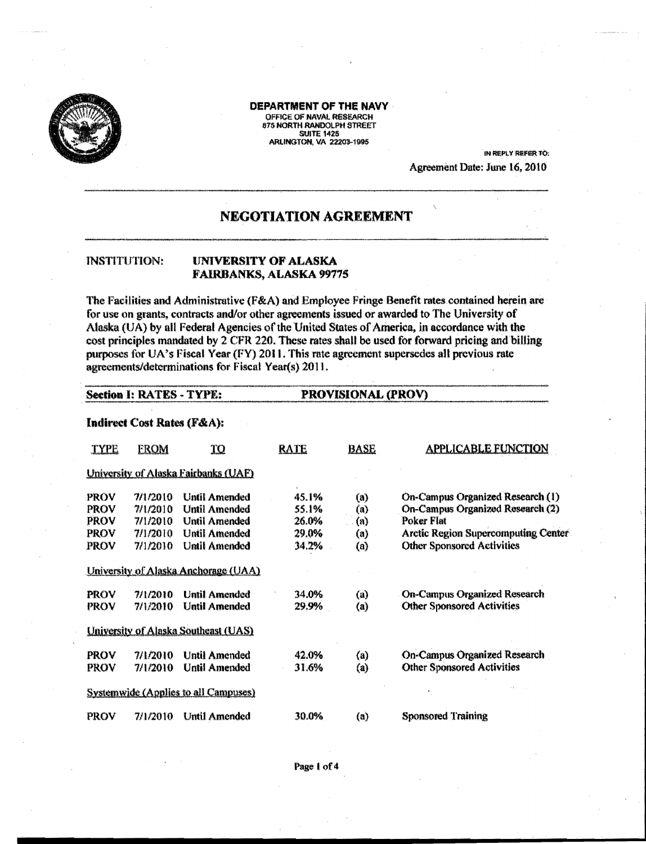

DEPARTMENT OF THE NAVY OFFICE OF NAVAL RESEARCH 875 NORTH RANDOLPH STREET ARLINGTON, VA 22203-1995

> IN REPLY REFER TO: Agreement Date: June 16, 2010

# **NEGOTIATION AGREEMENT**

#### **INSTITUTION:** UNIVERSITY OF ALASKA FAIRBANKS, ALASKA 99775

The Facilities and Administrative (F&A) and Employee Fringe Benefit rates contained herein are for use on grants, contracts and/or other agreements issued or awarded to The University of Alaska (UA) by all Federal Agencies of the United States of America, in accordance with the cost principles mandated by 2 CFR 220. These rates shall be used for forward pricing and billing purposes for UA's Fiscal Year (FY) 2011. This rate agreement supersedes all previous rate agreements/determinations for Fiscal Year(s) 2011.

PROVISIONAL (PROV)

#### **Section I: RATES - TYPE:**

### Indirect Cost Rates (F&A):

| TYPE                                               | <b>FROM</b>                                              | <u>TO</u>                                                                                              | <b>RATE</b>                               | <b>BASE</b>                                   | <b>APPLICABLE FUNCTION</b>                                                                                                                                            |
|----------------------------------------------------|----------------------------------------------------------|--------------------------------------------------------------------------------------------------------|-------------------------------------------|-----------------------------------------------|-----------------------------------------------------------------------------------------------------------------------------------------------------------------------|
|                                                    |                                                          | University of Alaska Fairbanks (UAF)                                                                   |                                           |                                               |                                                                                                                                                                       |
| <b>PROV</b><br><b>PROV</b><br>PROV<br>PROV<br>PROV | 7/1/2010<br>7/1/2010<br>7/1/2010<br>7/1/2010<br>7/1/2010 | Until Amended<br>Until Amended<br><b>Until Amended</b><br><b>Until Amended</b><br><b>Until Amended</b> | 45.1%<br>55.1%<br>26.0%<br>29.0%<br>34.2% | (a)<br>$\left( a\right)$<br>(a)<br>(a)<br>(a) | On-Campus Organized Research (1)<br>On-Campus Organized Research (2)<br>Poker Flat<br><b>Arctic Region Supercomputing Center</b><br><b>Other Sponsored Activities</b> |
|                                                    |                                                          | University of Alaska Anchorage (UAA)                                                                   |                                           |                                               |                                                                                                                                                                       |
| <b>PROV</b><br>PROV                                | 7/1/2010<br>7/1/2010                                     | <b>Until Amended</b><br><b>Until Amended</b>                                                           | 34.0%<br>29.9%                            | $\left( u\right)$<br>$\left( a\right)$        | <b>On-Campus Organized Research</b><br><b>Other Sponsored Activities</b>                                                                                              |
|                                                    |                                                          | University of Alaska Southeast (UAS)                                                                   |                                           |                                               |                                                                                                                                                                       |
| <b>PROV</b><br>PROV                                | 7/1/2010<br>7/1/2010                                     | <b>Until Amended</b><br>Until Amended                                                                  | 42.0%<br>31.6%                            | $\left( a\right)$<br>$\left( a\right)$        | <b>On-Campus Organized Research</b><br><b>Other Sponsored Activities</b>                                                                                              |
|                                                    |                                                          | <b>Systemwide (Applies to all Campuses)</b>                                                            |                                           |                                               |                                                                                                                                                                       |
| PROV                                               | 7/1/2010                                                 | <b>Until Amended</b>                                                                                   | 30.0%                                     | (a)                                           | <b>Sponsored Training</b>                                                                                                                                             |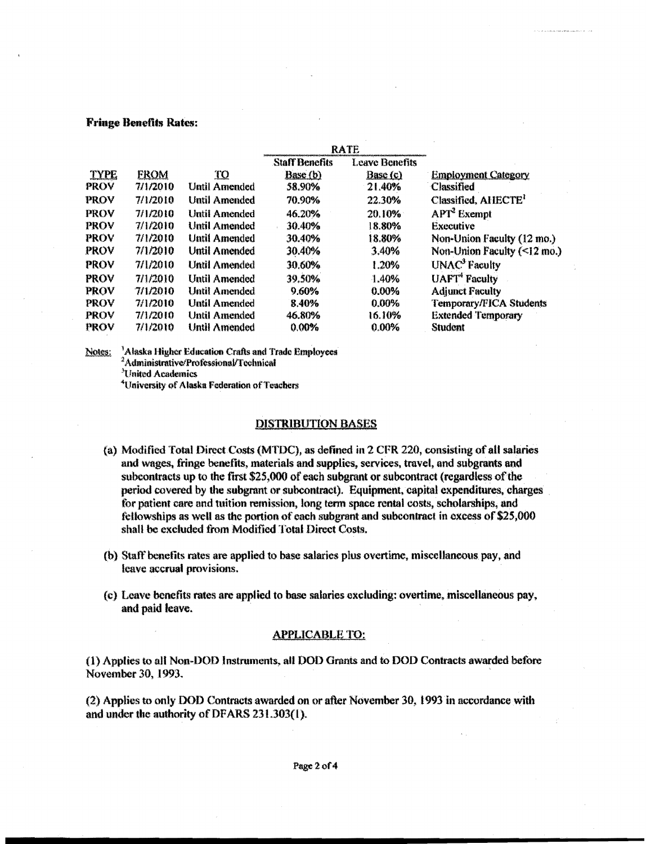## **Fringe Benefits Rates:**

|             |             |                      |                       | <b>RATE</b>           |                                           |
|-------------|-------------|----------------------|-----------------------|-----------------------|-------------------------------------------|
|             |             |                      | <b>Staff Benefits</b> | <b>Leave Benefits</b> |                                           |
| <b>TYPE</b> | <b>FROM</b> | <u>ТО</u>            | Base (b)              | Base (c)              | <b>Employment Category</b>                |
| <b>PROV</b> | 7/1/2010    | <b>Until Amended</b> | 58.90%                | 21.40%                | <b>Classified</b>                         |
| <b>PROV</b> | 7/1/2010    | <b>Until Amended</b> | 70.90%                | 22.30%                | Classified, AHECTE <sup>1</sup>           |
| <b>PROV</b> | 7/1/2010    | <b>Until Amended</b> | 46.20%                | 20.10%                | $\mathbf{APT}^2$ Exempt                   |
| <b>PROV</b> | 7/1/2010    | <b>Until Amended</b> | 30.40%                | 8.80%                 | <b>Executive</b>                          |
| <b>PROV</b> | 7/1/2010    | <b>Until Amended</b> | 30.40%                | 18.80%                | Non-Union Faculty (12 mo.)                |
| <b>PROV</b> | 7/1/2010    | Until Amended        | 30.40%                | 3.40%                 | Non-Union Faculty $(\leq 12 \text{ mo.})$ |
| <b>PROV</b> | 71/2010     | <b>Until Amended</b> | 30.60%                | 1.20%                 | UNAC <sup>3</sup> Faculty                 |
| <b>PROV</b> | 7/1/2010    | <b>Until Amended</b> | 39.50%                | 1.40%                 | <b>UAFT</b> <sup>4</sup> Faculty          |
| <b>PROV</b> | 7/1/2010    | <b>Until Amended</b> | 9.60%                 | 0.00%                 | <b>Adjunct Faculty</b>                    |
| <b>PROV</b> | 7/1/2010    | <b>Until Amended</b> | 8.40%                 | 0.00%                 | <b>Temporary/FICA Students</b>            |
| <b>PROV</b> | 7/1/2010    | <b>Until Amended</b> | 46.80%                | 16.10%                | <b>Extended Temporary</b>                 |
| PROV        | 7/1/2010    | <b>Until Amended</b> | 0.00%                 | $0.00\%$              | <b>Student</b>                            |

Notes: <sup>3</sup>Alaska Higher Education Crafts and Trade Employees

<sup>2</sup>Administrative/Professional/Technical

<sup>3</sup>United Academics

<sup>4</sup>University of Alaska Federation of Teachers

#### **DISTRIBUTION BASES**

- (a) Modified Total Direct Costs (MTDC), as defined in 2 CFR 220, consisting of all salaries and wages, fringe benefits, materials and supplies, services, travel, and subgrants and subcontracts up to the first \$25,000 of each subgrant or subcontract (regardless of the period covered by the subgrant or subcontract). Equipment, capital expenditures, charges for patient care and tuition remission, long term space rental costs, scholarships, and fellowships as well as the portion of each subgrant and subcontract in excess of \$25,000 shall be excluded from Modified Total Direct Costs.
- (b) Staff benefits rates are applied to base salaries plus overtime, miscellaneous pay, and leave accrual provisions.
- (c) Leave benefits rates are applied to base salaries excluding; overtime, miscellaneous pay, and paid leave.

### **APPLICABLE TO:**

(1) Applies to all Non-DOD Instruments, all DOD Grants and to DOD Contracts awarded before November 30, 1993.

(2) Applies to only DOD Contracts awarded on or after November 30, 1993 in accordance with and under the authority of DFARS 231.303(1).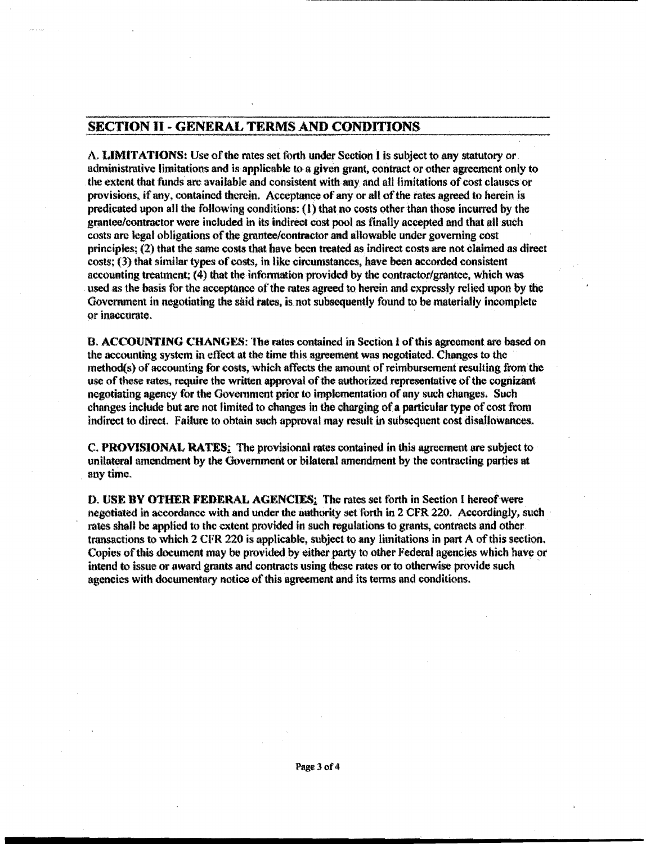# SECTION II - GENERAL TERMS AND CONDITIONS

A. LIMITATIONS: Use of the rates set forth under Section I is subject to any statutory or administrative limitations and is·applicable to a given grant. contract or other agreement only to the extent that funds are available and consistent with any and all limitations of cost clauses or provisions, if any, contained therein. Acceptance of any or all of the rates agreed to herein is predicated upon all the following conditions:  $(1)$  that no costs other than those incurred by the grantee/contractor were included in its indirect cost pool as finally accepted and that all such costs are legal obligations of the grantee/contractor and allowable under governing cost principles; (2) that the same costs that have been treated as. indirect costs are not claimed as direct costs; (3) that similar types of costs, in like circumstances, have been accorded consistent accounting treatment; (4) that the information provided by the contractor/grantee, which was used as the basis for the acceptance of the rates agreed to herein and expressly relied upon by the Government in negotiating the said rates, is not subsequently found to be materially incomplete or inacCUrate.

8. ACCOUNTING CHANGES: The rates contained in Section 1 ofthis agreement are based on the accounting system in effect at the time this agreement was negotiated. Changes to the method(s) of accounting for costs, which affects the amount of reimbursement resulting from the use of these rates, require the written approval of the authorized representative of the cognizant negotiating agency for the Government prior to implementation of any such changes. Such changes include but are not limited to changes in the charging of a particular type of cost from Indirect to direct. Failure to obtain such approval may result in subsequent cost disallowances.

C. PROVISIONAL RATES: The provisional rates contained in this agreement are subject to unilateral amendment by the Government or bilateral amendment by the contracting parties at anytime.

D. USE BY OTHER FEDERAL AGENCIES: The rates set forth in Section I hereof were negotiated in accordance with and under the authority set forth in 2 CFR 220. Accordingly, such rates shall be applied to the extent provided in such regulations to grants, contracts and other transactions to which  $2 \text{ CFR}$  220 is applicable, subject to any limitations in part A of this section. Copies of this document may be provided by either party to other Federal agencies which have or intend to issue or award grants and contracts using these rates or to otherwise provide such agencies with documentary notice of this agreement and its terms and conditions.